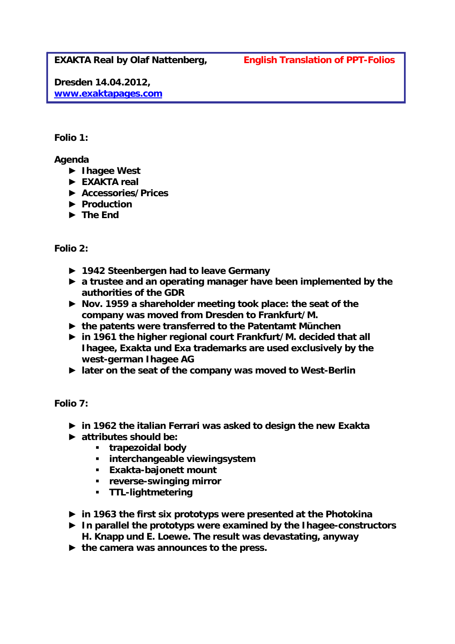**EXAKTA Real by Olaf Nattenberg,** *English Translation of PPT-Folios*

**Dresden 14.04.2012, www.exaktapages.com**

## *Folio 1:*

**Agenda** 

- ► **Ihagee West**
- ► **EXAKTA real**
- ► **Accessories/Prices**
- ► **Production**
- ► **The End**

## *Folio 2:*

- ► **1942 Steenbergen had to leave Germany**
- ► **a trustee and an operating manager have been implemented by the authorities of the GDR**
- ► **Nov. 1959 a shareholder meeting took place: the seat of the company was moved from Dresden to Frankfurt/M.**
- ► **the patents were transferred to the Patentamt München**
- ► **in 1961 the higher regional court Frankfurt/M. decided that all Ihagee, Exakta und Exa trademarks are used exclusively by the west-german Ihagee AG**
- ► **later on the seat of the company was moved to West-Berlin**

*Folio 7:* 

- ► **in 1962 the italian Ferrari was asked to design the new Exakta**
- ► **attributes should be:** 
	- **trapezoidal body**
	- **interchangeable viewingsystem**
	- **Exakta-bajonett mount**
	- **reverse-swinging mirror**
	- **TTL-lightmetering**
- ► **in 1963 the first six prototyps were presented at the Photokina**
- ► **In parallel the prototyps were examined by the Ihagee-constructors H. Knapp und E. Loewe. The result was devastating, anyway**
- ► **the camera was announces to the press.**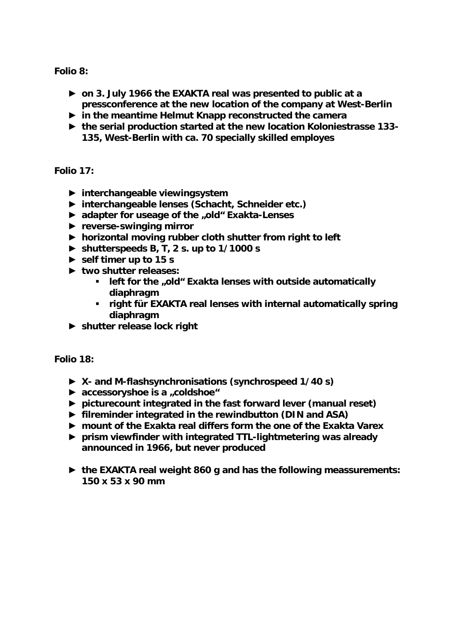*Folio 8:* 

- ► **on 3. July 1966 the EXAKTA real was presented to public at a pressconference at the new location of the company at West-Berlin**
- ► **in the meantime Helmut Knapp reconstructed the camera**
- ► **the serial production started at the new location Koloniestrasse 133- 135, West-Berlin with ca. 70 specially skilled employes**

*Folio 17:* 

- ► **interchangeable viewingsystem**
- ► **interchangeable lenses (Schacht, Schneider etc.)**
- ► **adapter for useage of the "old" Exakta-Lenses**
- ► **reverse-swinging mirror**
- ► **horizontal moving rubber cloth shutter from right to left**
- ► **shutterspeeds B, T, 2 s. up to 1/1000 s**
- ► **self timer up to 15 s**
- ► **two shutter releases:** 
	- **-** left for the "old" Exakta lenses with outside automatically **diaphragm**
	- **right für EXAKTA real lenses with internal automatically spring diaphragm**
- ► **shutter release lock right**

*Folio 18:* 

- ► **X- and M-flashsynchronisations (synchrospeed 1/40 s)**
- ► **accessoryshoe is a "coldshoe"**
- ► **picturecount integrated in the fast forward lever (manual reset)**
- ► **filreminder integrated in the rewindbutton (DIN and ASA)**
- ► **mount of the Exakta real differs form the one of the Exakta Varex**
- ► **prism viewfinder with integrated TTL-lightmetering was already announced in 1966, but never produced**
- ► **the EXAKTA real weight 860 g and has the following meassurements: 150 x 53 x 90 mm**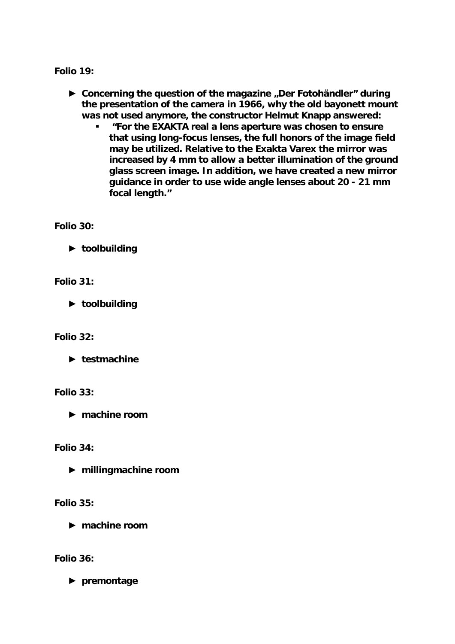*Folio 19:* 

- ► Concerning the question of the magazine "Der Fotohändler" during **the presentation of the camera in 1966, why the old bayonett mount was not used anymore, the constructor Helmut Knapp answered:** 
	- *"For the EXAKTA real a lens aperture was chosen to ensure that using long-focus lenses, the full honors of the image field may be utilized. Relative to the Exakta Varex the mirror was increased by 4 mm to allow a better illumination of the ground glass screen image. In addition, we have created a new mirror guidance in order to use wide angle lenses about 20 - 21 mm focal length."*

*Folio 30:* 

► **toolbuilding** 

*Folio 31:* 

► **toolbuilding** 

*Folio 32:* 

► **testmachine** 

*Folio 33:* 

► **machine room** 

*Folio 34:* 

► **millingmachine room** 

*Folio 35:* 

► **machine room** 

*Folio 36:* 

► **premontage**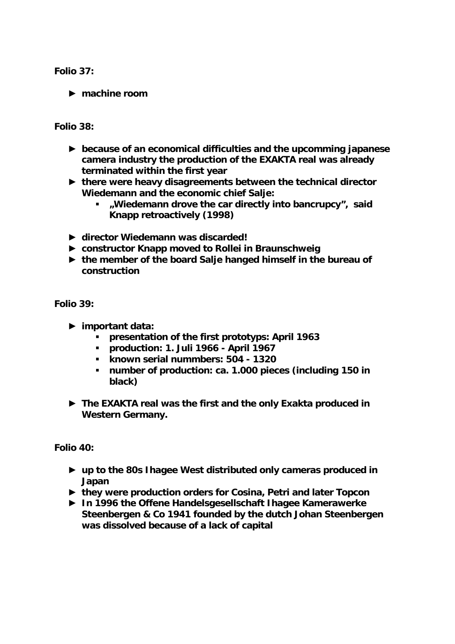*Folio 37:* 

► **machine room** 

*Folio 38:* 

- ► **because of an economical difficulties and the upcomming japanese camera industry the production of the EXAKTA real was already terminated within the first year**
- ► **there were heavy disagreements between the technical director Wiedemann and the economic chief Salje:** 
	- *"Wiedemann drove the car directly into bancrupcy",* **said Knapp retroactively (1998)**
- ► **director Wiedemann was discarded!**
- ► **constructor Knapp moved to Rollei in Braunschweig**
- ► **the member of the board Salje hanged himself in the bureau of construction**

*Folio 39:* 

- ► **important data:** 
	- **presentation of the first prototyps: April 1963**
	- **production: 1. Juli 1966 April 1967**
	- **known serial nummbers: 504 1320**
	- **number of production: ca. 1.000 pieces (including 150 in black)**
- ► **The EXAKTA real was the first and the only Exakta produced in Western Germany.**

*Folio 40:* 

- ► **up to the 80s Ihagee West distributed only cameras produced in Japan**
- ► **they were production orders for Cosina, Petri and later Topcon**
- ► **In 1996 the Offene Handelsgesellschaft Ihagee Kamerawerke Steenbergen & Co 1941 founded by the dutch Johan Steenbergen was dissolved because of a lack of capital**